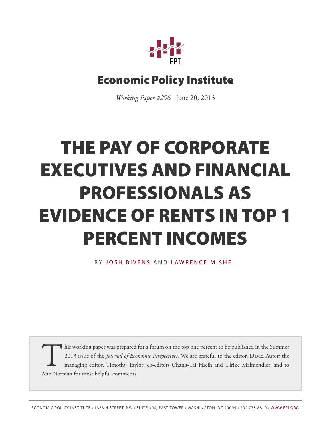

# **Economic Policy Institute**

*Working Paper #296* | June 20, 2013

# **THE PAY OF CORPORATE EXECUTIVES AND FINANCIAL PROFESSIONALS AS EVIDENCE OF RENTS IN TOP 1 PERCENT INCOMES**

BY JOS[H B](http://www.epi.org/people/josh-bivens/)IVENS AND LAWRENC[E M](http://www.epi.org/people/lawrence-mishel/)ISHEL

This working paper was prepared<br>2013 issue of the *Journal of Eco*<br>managing editor, Timothy Tayl<br>Ann Norman for most helpful comments. this working paper was prepared for a forum on the top one percent to be published in the Summer 2013 issue of the *Journal of Economic Perspectives*. We are grateful to the editor, David Autor; the managing editor, Timothy Taylor; co-editors Chang-Tai Hseih and Ulrike Malmendier; and to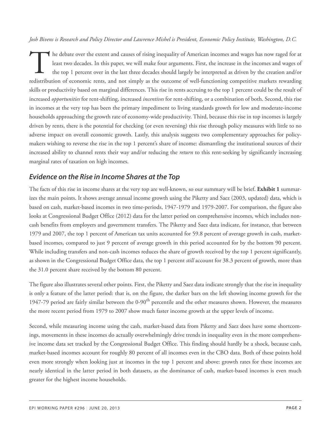*Josh Bivens is Research and Policy Director and Lawrence Mishel is President, Economic Policy Institute, Washington, D.C.*

The debate over the extent and causes of rising inequality of American incomes and wages has now raged for at least two decades. In this paper, we will make four arguments. First, the increase in the incomes and wages of t he debate over the extent and causes of rising inequality of American incomes and wages has now raged for at least two decades. In this paper, we will make four arguments. First, the increase in the incomes and wages of the top 1 percent over in the last three decades should largely be interpreted as driven by the creation and/or skills or productivity based on marginal differences. This rise in rents accruing to the top 1 percent could be the result of increased *opportunities* for rent-shifting, increased *incentives* for rent-shifting, or a combination of both. Second, this rise in incomes at the very top has been the primary impediment to living standards growth for low and moderate-income households approaching the growth rate of economy-wide productivity. Third, because this rise in top incomes is largely driven by rents, there is the potential for checking (or even reversing) this rise through policy measures with little to no adverse impact on overall economic growth. Lastly, this analysis suggests two complementary approaches for policymakers wishing to reverse the rise in the top 1 percent's share of income: dismantling the institutional sources of their increased ability to channel rents their way and/or reducing the *return* to this rent-seeking by significantly increasing marginal rates of taxation on high incomes.

# *Evidence on the Rise in Income Shares at the Top*

The facts of this rise in income shares at the very top are well-known, so our summary will be brief. **Exhibit 1** summarizes the main points. It shows average annual income growth using the Piketty and Saez (2003, updated) data, which is based on cash, market-based incomes in two time-periods, 1947-1979 and 1979-2007. For comparison, the figure also looks at Congressional Budget Office (2012) data for the latter period on comprehensive incomes, which includes noncash benefits from employers and government transfers. The Piketty and Saez data indicate, for instance, that between 1979 and 2007, the top 1 percent of American tax units accounted for 59.8 percent of average growth in cash, marketbased incomes, compared to just 9 percent of average growth in this period accounted for by the bottom 90 percent. While including transfers and non-cash incomes reduces the share of growth received by the top 1 percent significantly, as shown in the Congressional Budget Office data, the top 1 percent *still* account for 38.3 percent of growth, more than the 31.0 percent share received by the bottom 80 percent.

The figure also illustrates several other points. First, the Piketty and Saez data indicate strongly that the rise in inequality is only a feature of the latter period: that is, on the figure, the darker bars on the left showing income growth for the 1947-79 period are fairly similar between the 0-90<sup>th</sup> percentile and the other measures shown. However, the measures the more recent period from 1979 to 2007 show much faster income growth at the upper levels of income.

Second, while measuring income using the cash, market-based data from Piketty and Saez does have some shortcomings, movements in these incomes do actually overwhelmingly drive trends in inequality even in the more comprehensive income data set tracked by the Congressional Budget Office. This finding should hardly be a shock, because cash, market-based incomes account for roughly 80 percent of all incomes even in the CBO data. Both of these points hold even more strongly when looking just at incomes in the top 1 percent and above: growth rates for these incomes are nearly identical in the latter period in both datasets, as the dominance of cash, market-based incomes is even much greater for the highest income households.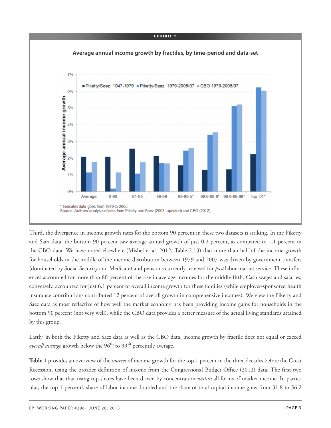#### **E X H I B I T 1**



Third, the divergence in income growth rates for the bottom 90 percent in these two datasets is striking. In the Piketty and Saez data, the bottom 90 percent saw average annual growth of just 0.2 percent, as compared to 1.1 percent in the CBO data. We have noted elsewhere (Mishel et al. 2012, Table 2.13) that more than half of the income growth for households in the middle of the income distribution between 1979 and 2007 was driven by government transfers (dominated by Social Security and Medicare) and pensions currently received for *past* labor market service. These influences accounted for more than 80 percent of the rise in average incomes for the middle-fifth. Cash wages and salaries, conversely, accounted for just 6.1 percent of overall income growth for these families (while employer-sponsored health insurance contributions contributed 12 percent of overall growth in comprehensive incomes). We view the Piketty and Saez data as most reflective of how well the market economy has been providing income gains for households in the bottom 90 percent (not very well), while the CBO data provides a better measure of the actual living standards attained by this group.

Lastly, in both the Piketty and Saez data as well as the CBO data, income growth by fractile does not equal or exceed *overall average* growth below the 96<sup>th</sup> to 99<sup>th</sup> percentile average.

**Table 1** provides an overview of the *sources* of income growth for the top 1 percent in the three decades before the Great Recession, using the broader definition of income from the Congressional Budget Office (2012) data. The first two rows show that that rising top shares have been driven by concentration *within* all forms of market income. In particular, the top 1 percent's share of labor income doubled and the share of total capital income grew from 31.8 to 56.2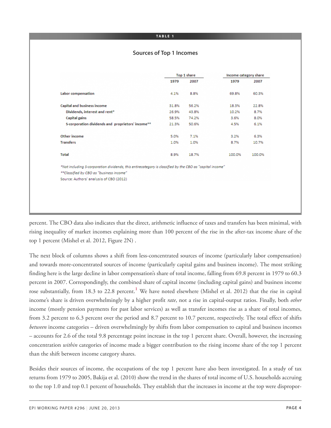#### **TA B L E 1**

#### **Sources of Top 1 Incomes**

|                                                                                                          |       | Top 1 share |        | Income category share |
|----------------------------------------------------------------------------------------------------------|-------|-------------|--------|-----------------------|
|                                                                                                          | 1979  | 2007        | 1979   | 2007                  |
| <b>Labor</b> compensation                                                                                | 4.1%  | 8.8%        | 69.8%  | 60.3%                 |
| <b>Capital and business income</b>                                                                       | 31.8% | 56.2%       | 18.3%  | 22.8%                 |
| Dividends, interest and rent <sup>®</sup>                                                                | 26.9% | 43.8%       | 10.2%  | 8.7%                  |
| <b>Capital gains</b>                                                                                     | 58.5% | 74.2%       | 3.6%   | 8.0%                  |
| S-corporation dividends and proprietors' income**                                                        | 21.3% | 50.6%       | 4.5%   | 6.1%                  |
| Other income                                                                                             | 5.0%  | 7.1%        | 3.2%   | 6.3%                  |
| <b>Transfers</b>                                                                                         | 1.0%  | 1.0%        | 8.7%   | 10.7%                 |
| Total                                                                                                    | 8.9%  | 18.7%       | 100.0% | 100.0%                |
| *Not including S-corporation dividends, this entirecategory is classified by the CBO as "capital income" |       |             |        |                       |
| **Classified by CBO as "business income"                                                                 |       |             |        |                       |
| Source: Authors' analysis of CBO (2012)                                                                  |       |             |        |                       |

percent. The CBO data also indicates that the direct, arithmetic influence of taxes and transfers has been minimal, with rising inequality of market incomes explaining more than 100 percent of the rise in the after-tax income share of the top 1 percent (Mishel et al. 2012, Figure 2N) .

<span id="page-3-0"></span>The next block of columns shows a shift from less-concentrated sources of income (particularly labor compensation) and towards more-concentrated sources of income (particularly capital gains and business income). The most striking finding here is the large decline in labor compensation's share of total income, falling from 69.8 percent in 1979 to 60.3 percent in 2007. Correspondingly, the combined share of capital income (including capital gains) and business income rose substantially, from 18.3 to 22.8 percent. **[1](#page-15-0)** We have noted elsewhere (Mishel et al. 2012) that the rise in capital income's share is driven overwhelmingly by a higher profit *rate*, not a rise in capital-output ratios. Finally, both *other* income (mostly pension payments for past labor services) as well as transfer incomes rise as a share of total incomes, from 3.2 percent to 6.3 percent over the period and 8.7 percent to 10.7 percent, respectively. The total effect of shifts *between* income categories – driven overwhelmingly by shifts from labor compensation to capital and business incomes – accounts for 2.6 of the total 9.8 percentage point increase in the top 1 percent share. Overall, however, the increasing concentration *within* categories of income made a bigger contribution to the rising income share of the top 1 percent than the shift between income category shares.

Besides their sources of income, the occupations of the top 1 percent have also been investigated. In a study of tax returns from 1979 to 2005, Bakija et al. (2010) show the trend in the shares of total income of U.S. households accruing to the top 1.0 and top 0.1 percent of households. They establish that the increases in income at the top were dispropor-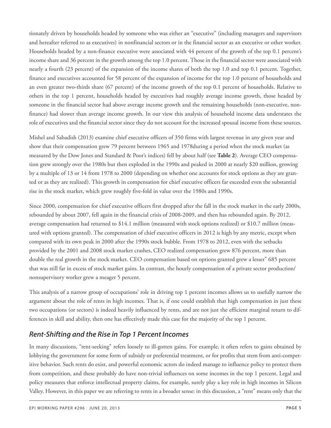tionately driven by households headed by someone who was either an "executive" (including managers and supervisors and hereafter referred to as executives) in nonfinancial sectors or in the financial sector as an executive or other worker. Households headed by a non-finance executive were associated with 44 percent of the growth of the top 0.1 percent's income share and 36 percent in the growth among the top 1.0 percent. Those in the financial sector were associated with nearly a fourth (23 percent) of the expansion of the income shares of both the top 1.0 and top 0.1 percent. Together, finance and executives accounted for 58 percent of the expansion of income for the top 1.0 percent of households and an even greater two-thirds share (67 percent) of the income growth of the top 0.1 percent of households. Relative to others in the top 1 percent, households headed by executives had roughly average income growth, those headed by someone in the financial sector had above average income growth and the remaining households (non-executive, nonfinance) had slower than average income growth. In our view this analysis of household income data understates the role of executives and the financial sector since they do not account for the increased spousal income from these sources.

Mishel and Sabadish (2013) examine chief executive officers of 350 firms with largest revenue in any given year and show that their compensation grew 79 percent between 1965 and 1978during a period when the stock market (as measured by the Dow Jones and Standard & Poor's indices) fell by about half (see **Table 2**). Average CEO compensation grew strongly over the 1980s but then exploded in the 1990s and peaked in 2000 at nearly \$20 million, growing by a multiple of 13 or 14 from 1978 to 2000 (depending on whether one accounts for stock options as they are granted or as they are realized). This growth in compensation for chief executive officers far exceeded even the substantial rise in the stock market, which grew roughly five-fold in value over the 1980s and 1990s.

Since 2000, compensation for chief executive officers first dropped after the fall in the stock market in the early 2000s, rebounded by about 2007, fell again in the financial crisis of 2008-2009, and then has rebounded again. By 2012, average compensation had returned to \$14.1 million (measured with stock options realized) or \$10.7 million (measured with options granted). The compensation of chief executive officers in 2012 is high by any metric, except when compared with its own peak in 2000 after the 1990s stock bubble. From 1978 to 2012, even with the setbacks provided by the 2001 and 2008 stock market crashes, CEO realized compensation grew 876 percent, more than double the real growth in the stock market. CEO compensation based on options granted grew a lesser" 685 percent that was still far in excess of stock market gains. In contrast, the hourly compensation of a private sector production/ nonsupervisory worker grew a meager 5 percent.

This analysis of a narrow group of occupations' role in driving top 1 percent incomes allows us to usefully narrow the argument about the role of rents in high incomes. That is, if one could establish that high compensation in just these two occupations (or sectors) is indeed heavily influenced by rents, and are not just the efficient marginal return to differences in skill and ability, then one has effectively made this case for the majority of the top 1 percent.

# *Rent-Shifting and the Rise in Top 1 Percent Incomes*

In many discussions, "rent-seeking" refers loosely to ill-gotten gains. For example, it often refers to gains obtained by lobbying the government for some form of subsidy or preferential treatment, or for profits that stem from anti-competitive behavior. Such rents do exist, and powerful economic actors do indeed manage to influence policy to protect them from competition, and these probably do have non-trivial influences on some incomes in the top 1 percent. Legal and policy measures that enforce intellectual property claims, for example, surely play a key role in high incomes in Silicon Valley. However, in this paper we are referring to rents in a broader sense: in this discussion, a "rent" means only that the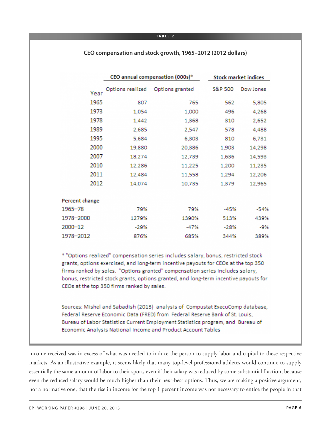#### **TA B L E 2**

**CEO compensation and stock growth, 1965–2012 (2012 dollars)**

|                                                                                                                                                                                                                                                                                                                                                                                                | CEO annual compensation (000s)* |                                                                               |                    | <b>Stock market indices</b> |  |  |  |
|------------------------------------------------------------------------------------------------------------------------------------------------------------------------------------------------------------------------------------------------------------------------------------------------------------------------------------------------------------------------------------------------|---------------------------------|-------------------------------------------------------------------------------|--------------------|-----------------------------|--|--|--|
| Year                                                                                                                                                                                                                                                                                                                                                                                           | Options realized                | Options granted                                                               | <b>S&amp;P 500</b> | Dow Jones                   |  |  |  |
| 1965                                                                                                                                                                                                                                                                                                                                                                                           | 807                             | 765                                                                           | 562                | 5,805                       |  |  |  |
| 1973                                                                                                                                                                                                                                                                                                                                                                                           | 1,054                           | 1,000                                                                         | 496                | 4,268                       |  |  |  |
| 1978                                                                                                                                                                                                                                                                                                                                                                                           | 1,442                           | 1,368                                                                         | 310                | 2,652                       |  |  |  |
| 1989                                                                                                                                                                                                                                                                                                                                                                                           | 2,685                           | 2,547                                                                         | 578                | 4,488                       |  |  |  |
| 1995                                                                                                                                                                                                                                                                                                                                                                                           | 5,684                           | 6,303                                                                         | 810                | 6,731                       |  |  |  |
| 2000                                                                                                                                                                                                                                                                                                                                                                                           | 19,880                          | 20,386                                                                        | 1,903              | 14,298                      |  |  |  |
| 2007                                                                                                                                                                                                                                                                                                                                                                                           | 18,274                          | 12,739                                                                        | 1,636              | 14,593                      |  |  |  |
| 2010                                                                                                                                                                                                                                                                                                                                                                                           | 12,286                          | 11,225                                                                        | 1,200              | 11,235                      |  |  |  |
| 2011                                                                                                                                                                                                                                                                                                                                                                                           | 12,484                          | 11,558                                                                        | 1,294              | 12,206                      |  |  |  |
| 2012                                                                                                                                                                                                                                                                                                                                                                                           | 14,074                          | 10,735                                                                        | 1,379              | 12,965                      |  |  |  |
| Percent change                                                                                                                                                                                                                                                                                                                                                                                 |                                 |                                                                               |                    |                             |  |  |  |
| $1965 - 78$                                                                                                                                                                                                                                                                                                                                                                                    | 79%                             | 79%                                                                           | $-45%$             | $-54%$                      |  |  |  |
| 1978-2000                                                                                                                                                                                                                                                                                                                                                                                      | 1279%                           | 1390%                                                                         | 513%               | 439%                        |  |  |  |
| 2000-12                                                                                                                                                                                                                                                                                                                                                                                        | $-29%$                          | $-47%$                                                                        | $-28%$             | $-9%$                       |  |  |  |
| 1978-2012                                                                                                                                                                                                                                                                                                                                                                                      | 876%                            | 685%                                                                          | 344%               | 389%                        |  |  |  |
| * "Options realized" compensation series includes salary, bonus, restricted stock<br>grants, options exercised, and long-term incentive payouts for CEOs at the top 350<br>firms ranked by sales. "Options granted" compensation series includes salary,<br>bonus, restricted stock grants, options granted, and long-term incentive payouts for<br>CEOs at the top 350 firms ranked by sales. |                                 |                                                                               |                    |                             |  |  |  |
|                                                                                                                                                                                                                                                                                                                                                                                                |                                 | Sources: Mishel and Sabadish (2013) analysis of Compustat ExecuComp database. |                    |                             |  |  |  |

Federal Reserve Economic Data (FRED) from Federal Reserve Bank of St. Louis, Bureau of Labor Statistics Current Employment Statistics program, and Bureau of Economic Analysis National Income and Product Account Tables

income received was in excess of what was needed to induce the person to supply labor and capital to these respective markets. As an illustrative example, it seems likely that many top-level professional athletes would continue to supply essentially the same amount of labor to their sport, even if their salary was reduced by some substantial fraction, because even the reduced salary would be much higher than their next-best options. Thus, we are making a positive argument, not a normative one, that the rise in income for the top 1 percent income was not necessary to entice the people in that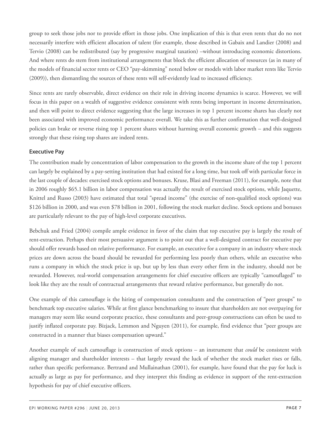group to seek those jobs nor to provide effort in those jobs. One implication of this is that even rents that do no not necessarily interfere with efficient allocation of talent (for example, those described in Gabaix and Landier (2008) and Tervio (2008) can be redistributed (say by progressive marginal taxation) –without introducing economic distortions. And where rents do stem from institutional arrangements that block the efficient allocation of resources (as in many of the models of financial sector rents or CEO "pay-skimming" noted below or models with labor market rents like Tervio (2009)), then dismantling the sources of these rents will self-evidently lead to increased efficiency.

Since rents are rarely observable, direct evidence on their role in driving income dynamics is scarce. However, we will focus in this paper on a wealth of suggestive evidence consistent with rents being important in income determination, and then will point to direct evidence suggesting that the large increases in top 1 percent income shares has clearly not been associated with improved economic performance overall. We take this as further confirmation that well-designed policies can brake or reverse rising top 1 percent shares without harming overall economic growth – and this suggests strongly that these rising top shares are indeed rents.

#### **Executive Pay**

The contribution made by concentration of labor compensation to the growth in the income share of the top 1 percent can largely be explained by a pay-setting institution that had existed for a long time, but took off with particular force in the last couple of decades: exercised stock options and bonuses. Kruse, Blasi and Freeman (2011), for example, note that in 2006 roughly \$65.1 billion in labor compensation was actually the result of exercised stock options, while Jaquette, Knittel and Russo (2003) have estimated that total "spread income" (the exercise of non-qualified stock options) was \$126 billion in 2000, and was even \$78 billion in 2001, following the stock market decline. Stock options and bonuses are particularly relevant to the pay of high-level corporate executives.

Bebchuk and Fried (2004) compile ample evidence in favor of the claim that top executive pay is largely the result of rent-extraction. Perhaps their most persuasive argument is to point out that a well-designed contract for executive pay should offer rewards based on relative performance. For example, an executive for a company in an industry where stock prices are down across the board should be rewarded for performing less poorly than others, while an executive who runs a company in which the stock price is up, but up by less than every other firm in the industry, should not be rewarded. However, real-world compensation arrangements for chief executive officers are typically "camouflaged" to look like they are the result of contractual arrangements that reward relative performance, but generally do not.

One example of this camouflage is the hiring of compensation consultants and the construction of "peer groups" to benchmark top executive salaries. While at first glance benchmarking to insure that shareholders are not overpaying for managers may seem like sound corporate practice, these consultants and peer-group constructions can often be used to justify inflated corporate pay. Bizjack, Lemmon and Nguyen (2011), for example, find evidence that "peer groups are constructed in a manner that biases compensation upward."

Another example of such camouflage is construction of stock options – an instrument that *could* be consistent with aligning manager and shareholder interests – that largely reward the luck of whether the stock market rises or falls, rather than specific performance. Bertrand and Mullainathan (2001), for example, have found that the pay for luck is actually as large as pay for performance, and they interpret this finding as evidence in support of the rent-extraction hypothesis for pay of chief executive officers.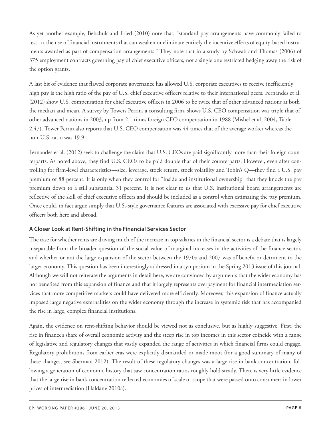As yet another example, Bebchuk and Fried (2010) note that, "standard pay arrangements have commonly failed to restrict the use of financial instruments that can weaken or eliminate entirely the incentive effects of equity-based instruments awarded as part of compensation arrangements." They note that in a study by Schwab and Thomas (2006) of 375 employment contracts governing pay of chief executive officers, not a single one restricted hedging away the risk of the option grants.

A last bit of evidence that flawed corporate governance has allowed U.S. corporate executives to receive inefficiently high pay is the high ratio of the pay of U.S. chief executive officers relative to their international peers. Fernandes et al. (2012) show U.S. compensation for chief executive officers in 2006 to be twice that of other advanced nations at both the median and mean. A survey by Towers Perrin, a consulting firm, shows U.S. CEO compensation was triple that of other advanced nations in 2003, up from 2.1 times foreign CEO compensation in 1988 (Mishel et al. 2004, Table 2.47). Tower Perrin also reports that U.S. CEO compensation was 44 times that of the average worker whereas the non-U.S. ratio was 19.9.

Fernandes et al. (2012) seek to challenge the claim that U.S. CEOs are paid significantly more than their foreign counterparts. As noted above, they find U.S. CEOs to be paid double that of their counterparts. However, even after controlling for firm-level characteristics—size, leverage, stock return, stock volatility and Tobin's Q—they find a U.S. pay premium of 88 percent. It is only when they control for "inside and institutional ownership" that they knock the pay premium down to a still substantial 31 percent. It is not clear to us that U.S. institutional board arrangements are reflective of the skill of chief executive officers and should be included as a control when estimating the pay premium. Once could, in fact argue simply that U.S.-style governance features are associated with excessive pay for chief executive officers both here and abroad.

#### **A Closer Look at Rent-Shifting in the Financial Services Sector**

The case for whether rents are driving much of the increase in top salaries in the financial sector is a debate that is largely inseparable from the broader question of the social value of marginal increases in the activities of the finance sector, and whether or not the large expansion of the sector between the 1970s and 2007 was of benefit or detriment to the larger economy. This question has been interestingly addressed in a symposium in the Spring 2013 issue of this journal. Although we will not reiterate the arguments in detail here, we are convinced by arguments that the wider economy has not benefited from this expansion of finance and that it largely represents overpayment for financial intermediation services that more competitive markets could have delivered more efficiently. Moreover, this expansion of finance actually imposed large negative externalities on the wider economy through the increase in systemic risk that has accompanied the rise in large, complex financial institutions.

Again, the evidence on rent-shifting behavior should be viewed not as conclusive, but as highly suggestive. First, the rise in finance's share of overall economic activity and the steep rise in top incomes in this sector coincide with a range of legislative and regulatory changes that vastly expanded the range of activities in which financial firms could engage. Regulatory prohibitions from earlier eras were explicitly dismantled or made moot (for a good summary of many of these changes, see Sherman 2012). The result of these regulatory changes was a large rise in bank concentration, following a generation of economic history that saw concentration ratios roughly hold steady. There is very little evidence that the large rise in bank concentration reflected economies of scale or scope that were passed onto consumers in lower prices of intermediation (Haldane 2010a).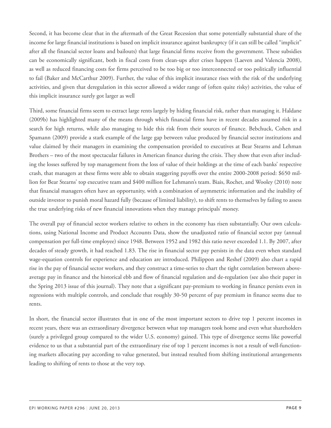Second, it has become clear that in the aftermath of the Great Recession that some potentially substantial share of the income for large financial institutions is based on implicit insurance against bankruptcy (if it can still be called "implicit" after all the financial sector loans and bailouts) that large financial firms receive from the government. These subsidies can be economically significant, both in fiscal costs from clean-ups after crises happen (Laeven and Valencia 2008), as well as reduced financing costs for firms perceived to be too big or too interconnected or too politically influential to fail (Baker and McCarthur 2009). Further, the value of this implicit insurance rises with the risk of the underlying activities, and given that deregulation in this sector allowed a wider range of (often quite risky) activities, the value of this implicit insurance surely got larger as well

Third, some financial firms seem to extract large rents largely by hiding financial risk, rather than managing it. Haldane (2009b) has highlighted many of the means through which financial firms have in recent decades assumed risk in a search for high returns, while also managing to hide this risk from their sources of finance. Bebchuck, Cohen and Spamann (2009) provide a stark example of the large gap between value produced by financial sector institutions and value claimed by their managers in examining the compensation provided to executives at Bear Stearns and Lehman Brothers – two of the most spectacular failures in American finance during the crisis. They show that even after including the losses suffered by top management from the loss of value of their holdings at the time of each banks' respective crash, that managers at these firms were able to obtain staggering payoffs over the entire 2000-2008 period: \$650 million for Bear Stearns' top executive team and \$400 million for Lehmann's team. Biais, Rochet, and Wooley (2010) note that financial managers often have an opportunity, with a combination of asymmetric information and the inability of outside investor to punish moral hazard fully (because of limited liability), to shift rents to themselves by failing to assess the true underlying risks of new financial innovations when they manage principals' money.

The overall pay of financial sector workers relative to others in the economy has risen substantially. Our own calculations, using National Income and Product Accounts Data, show the unadjusted ratio of financial sector pay (annual compensation per full-time employee) since 1948. Between 1952 and 1982 this ratio never exceeded 1.1. By 2007, after decades of steady growth, it had reached 1.83. The rise in financial sector pay persists in the data even when standard wage-equation controls for experience and education are introduced. Philippon and Reshef (2009) also chart a rapid rise in the pay of financial sector workers, and they construct a time-series to chart the tight correlation between aboveaverage pay in finance and the historical ebb and flow of financial regulation and de-regulation (see also their paper in the Spring 2013 issue of this journal). They note that a significant pay-premium to working in finance persists even in regressions with multiple controls, and conclude that roughly 30-50 percent of pay premium in finance seems due to rents.

In short, the financial sector illustrates that in one of the most important sectors to drive top 1 percent incomes in recent years, there was an extraordinary divergence between what top managers took home and even what shareholders (surely a privileged group compared to the wider U.S. economy) gained. This type of divergence seems like powerful evidence to us that a substantial part of the extraordinary rise of top 1 percent incomes is not a result of well-functioning markets allocating pay according to value generated, but instead resulted from shifting institutional arrangements leading to shifting of rents to those at the very top.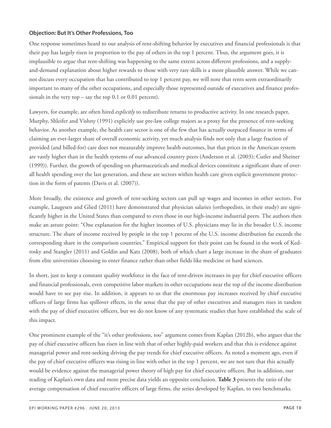#### **Objection: But It's Other Professions, Too**

One response sometimes heard to our analysis of rent-shifting behavior by executives and financial professionals is that their pay has largely risen in proportion to the pay of others in the top 1 percent. Thus, the argument goes, it is implausible to argue that rent-shifting was happening to the same extent across different professions, and a supplyand-demand explanation about higher rewards to those with very rare skills is a more plausible answer. While we cannot discuss every occupation that has contributed to top 1 percent pay, we will note that rents seem extraordinarily important to many of the other occupations, and especially those represented outside of executives and finance professionals in the very top – say the top 0.1 or 0.01 percent).

Lawyers, for example, are often hired *explicitly* to redistribute returns to productive activity. In one research paper, Murphy, Shleifer and Vishny (1991) explicitly use pre-law college majors as a proxy for the presence of rent-seeking behavior. As another example, the health care sector is one of the few that has actually outpaced finance in terms of claiming an ever-larger share of overall economic activity, yet much analysis finds not only that a large fraction of provided (and billed-for) care does not measurably improve health outcomes, but that prices in the American system are vastly higher than in the health systems of our advanced country peers (Anderson et al. (2003); Cutler and Sheiner (1999)). Further, the growth of spending on pharmaceuticals and medical devices constitute a significant share of overall health spending over the last generation, and these are sectors within health care given explicit government protection in the form of patents (Davis et al. (2007)).

More broadly, the existence and growth of rent-seeking sectors can pull up wages and incomes in other sectors. For example, Laugesen and Glied (2011) have demonstrated that physician salaries (orthopedists, in their study) are significantly higher in the United States than compared to even those in our high-income industrial peers. The authors then make an astute point: "One explanation for the higher incomes of U.S. physicians may lie in the broader U.S. income structure. The share of income received by people in the top 1 percent of the U.S. income distribution far exceeds the corresponding share in the comparison countries." Empirical support for their point can be found in the work of Kedrosky and Stangler (2011) and Goldin and Katz (2008), both of which chart a large increase in the share of graduates from elite universities choosing to enter finance rather than other fields like medicine or hard sciences.

In short, just to keep a constant quality workforce in the face of rent-driven increases in pay for chief executive officers and financial professionals, even competitive labor markets in other occupations near the top of the income distribution would have to see pay rise. In addition, it appears to us that the enormous pay increases received by chief executive officers of large firms has spillover effects, in the sense that the pay of other executives and managers rises in tandem with the pay of chief executive officers, but we do not know of any systematic studies that have established the scale of this impact.

One prominent example of the "it's other professions, too" argument comes from Kaplan (2012b), who argues that the pay of chief executive officers has risen in line with that of other highly-paid workers and that this is evidence against managerial power and rent-seeking driving the pay trends for chief executive officers. As noted a moment ago, even if the pay of chief executive officers was rising in line with other in the top 1 percent, we are not sure that this actually would be evidence against the managerial power theory of high pay for chief executive officers. But in addition, our reading of Kaplan's own data and more precise data yields an opposite conclusion. **Table 3** presents the ratio of the average compensation of chief executive officers of large firms, the series developed by Kaplan, to two benchmarks.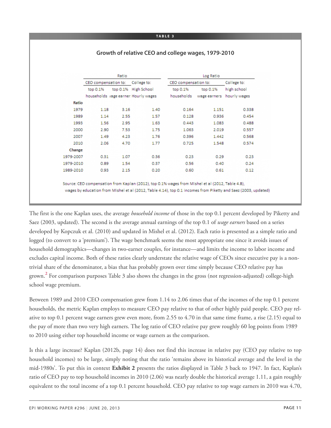#### **TA B L E 3**

#### **Growth of relative CEO and college wages, 1979-2010**

|           | Ratio                |      |                                      | Log Ratio            |              |              |  |
|-----------|----------------------|------|--------------------------------------|----------------------|--------------|--------------|--|
|           | CEO compensation to: |      | College to:                          | CEO compensation to: |              | College to:  |  |
|           | top 0.1%             |      | top 0.1% High School                 | top 0.1%             | top 0.1%     | high school  |  |
|           |                      |      | households vage earner. Hourly wages | households           | wage earners | hourly wages |  |
| Ratio     |                      |      |                                      |                      |              |              |  |
| 1979      | 1.18                 | 3.16 | 1.40                                 | 0.164                | 1.151        | 0.338        |  |
| 1989      | 1.14                 | 2.55 | 1.57                                 | 0.128                | 0.936        | 0.454        |  |
| 1993      | 1.56                 | 2.95 | 1.63                                 | 0.443                | 1.083        | 0.488        |  |
| 2000      | 2.90                 | 7.53 | 1.75                                 | 1.063                | 2.019        | 0.557        |  |
| 2007      | 1.49                 | 4.23 | 1.76                                 | 0.396                | 1.442        | 0.568        |  |
| 2010      | 2.06                 | 4.70 | 1.77                                 | 0.725                | 1.548        | 0.574        |  |
| Change    |                      |      |                                      |                      |              |              |  |
| 1979-2007 | 0.31                 | 1.07 | 0.36                                 | 0.23                 | 0.29         | 0.23         |  |
| 1979-2010 | 0.89                 | 1.54 | 0.37                                 | 0.56                 | 0.40         | 0.24         |  |
| 1989-2010 | 0.93                 | 2.15 | 0.20                                 | 0.60                 | 0.61         | 0.12         |  |

Source: CEO compensation from Kaplan (2012), top 0.1% wages from Mishel et al (2012, Table 4.8), wages by education from Mishel et al (2012, Table 4.14), top 0.1 incomes from Piketty and Saez (2003, updated)

The first is the one Kaplan uses, the average *household income* of those in the top 0.1 percent developed by Piketty and Saez (2003, updated). The second is the average annual earnings of the top 0.1 of *wage earners* based on a series developed by Kopczuk et al. (2010) and updated in Mishel et al. (2012). Each ratio is presented as a simple ratio and logged (to convert to a 'premium'). The wage benchmark seems the most appropriate one since it avoids issues of household demographics—changes in two-earner couples, for instance—and limits the income to labor income and excludes capital income. Both of these ratios clearly understate the relative wage of CEOs since executive pay is a nontrivial share of the denominator, a bias that has probably grown over time simply because CEO relative pay has grown. **[2](#page-15-1)** For comparison purposes Table 3 also shows the changes in the gross (not regression-adjusted) college-high school wage premium.

<span id="page-10-0"></span>Between 1989 and 2010 CEO compensation grew from 1.14 to 2.06 times that of the incomes of the top 0.1 percent households, the metric Kaplan employs to measure CEO pay relative to that of other highly paid people. CEO pay relative to top 0.1 percent wage earners grew even more, from 2.55 to 4.70 in that same time frame, a rise (2.15) equal to the pay of more than two very high earners. The log ratio of CEO relative pay grew roughly 60 log points from 1989 to 2010 using either top household income or wage earners as the comparison.

Is this a large increase? Kaplan (2012b, page 14) does not find this increase in relative pay (CEO pay relative to top household incomes) to be large, simply noting that the ratio 'remains above its historical average and the level in the mid-1980s'. To put this in context **Exhibit 2** presents the ratios displayed in Table 3 back to 1947. In fact, Kaplan's ratio of CEO pay to top household incomes in 2010 (2.06) was nearly double the historical average 1.11, a gain roughly equivalent to the total income of a top 0.1 percent household. CEO pay relative to top wage earners in 2010 was 4.70,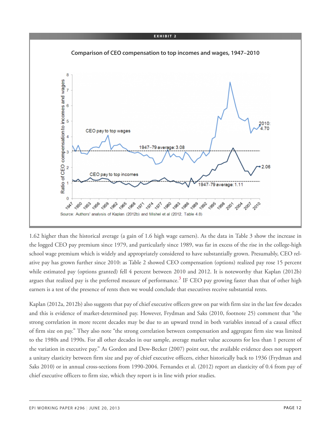

1.62 higher than the historical average (a gain of 1.6 high wage earners). As the data in Table 3 show the increase in the logged CEO pay premium since 1979, and particularly since 1989, was far in excess of the rise in the college-high school wage premium which is widely and appropriately considered to have substantially grown. Presumably, CEO relative pay has grown further since 2010: as Table 2 showed CEO compensation (options) realized pay rose 15 percent while estimated pay (options granted) fell 4 percent between 2010 and 2012. It is noteworthy that Kaplan (2012b) argues that realized pay is the preferred measure of performance. **[3](#page-16-0)** IF CEO pay growing faster than that of other high earners is a test of the presence of rents then we would conclude that executives receive substantial rents.

<span id="page-11-0"></span>Kaplan (2012a, 2012b) also suggests that pay of chief executive officers grew on par with firm size in the last few decades and this is evidence of market-determined pay. However, Frydman and Saks (2010, footnote 25) comment that "the strong correlation in more recent decades may be due to an upward trend in both variables instead of a causal effect of firm size on pay." They also note "the strong correlation between compensation and aggregate firm size was limited to the 1980s and 1990s. For all other decades in our sample, average market value accounts for less than 1 percent of the variation in executive pay." As Gordon and Dew-Becker (2007) point out, the available evidence does not support a unitary elasticity between firm size and pay of chief executive officers, either historically back to 1936 (Frydman and Saks 2010) or in annual cross-sections from 1990-2004. Fernandes et al. (2012) report an elasticity of 0.4 from pay of chief executive officers to firm size, which they report is in line with prior studies.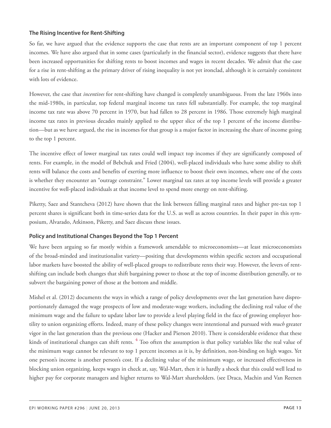#### **The Rising Incentive for Rent-Shifting**

So far, we have argued that the evidence supports the case that rents are an important component of top 1 percent incomes. We have also argued that in some cases (particularly in the financial sector), evidence suggests that there have been increased opportunities for shifting rents to boost incomes and wages in recent decades. We admit that the case for a rise in rent-shifting as the primary driver of rising inequality is not yet ironclad, although it is certainly consistent with lots of evidence.

However, the case that *incentives* for rent-shifting have changed is completely unambiguous. From the late 1960s into the mid-1980s, in particular, top federal marginal income tax rates fell substantially. For example, the top marginal income tax rate was above 70 percent in 1970, but had fallen to 28 percent in 1986. Those extremely high marginal income tax rates in previous decades mainly applied to the upper slice of the top 1 percent of the income distribution—but as we have argued, the rise in incomes for that group is a major factor in increasing the share of income going to the top 1 percent.

The incentive effect of lower marginal tax rates could well impact top incomes if they are significantly composed of rents. For example, in the model of Bebchuk and Fried (2004), well-placed individuals who have some ability to shift rents will balance the costs and benefits of exerting more influence to boost their own incomes, where one of the costs is whether they encounter an "outrage constraint." Lower marginal tax rates at top income levels will provide a greater incentive for well-placed individuals at that income level to spend more energy on rent-shifting.

Piketty, Saez and Stantcheva (2012) have shown that the link between falling marginal rates and higher pre-tax top 1 percent shares is significant both in time-series data for the U.S. as well as across countries. In their paper in this symposium, Alvarado, Atkinson, Piketty, and Saez discuss these issues.

#### **Policy and Institutional Changes Beyond the Top 1 Percent**

We have been arguing so far mostly within a framework amendable to microeconomists—at least microeconomists of the broad-minded and institutionalist variety—positing that developments within specific sectors and occupational labor markets have boosted the ability of well-placed groups to redistribute rents their way. However, the levers of rentshifting can include both changes that shift bargaining power to those at the top of income distribution generally, or to subvert the bargaining power of those at the bottom and middle.

<span id="page-12-0"></span>Mishel et al. (2012) documents the ways in which a range of policy developments over the last generation have disproportionately damaged the wage prospects of low and moderate-wage workers, including the declining real value of the minimum wage and the failure to update labor law to provide a level playing field in the face of growing employer hostility to union organizing efforts. Indeed, many of these policy changes were intentional and pursued with *much* greater vigor in the last generation than the previous one (Hacker and Pierson 2010). There is considerable evidence that these kinds of institutional changes can shift rents. **[4](#page-16-1)** Too often the assumption is that policy variables like the real value of the minimum wage cannot be relevant to top 1 percent incomes as it is, by definition, non-binding on high wages. Yet one person's income is another person's cost. If a declining value of the minimum wage, or increased effectiveness in blocking union organizing, keeps wages in check at, say, Wal-Mart, then it is hardly a shock that this could well lead to higher pay for corporate managers and higher returns to Wal-Mart shareholders. (see Draca, Machin and Van Reenen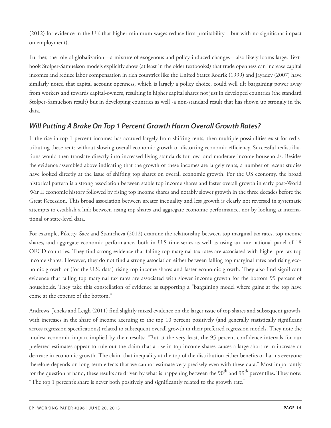(2012) for evidence in the UK that higher minimum wages reduce firm profitability – but with no significant impact on employment).

Further, the role of globalization—a mixture of exogenous and policy-induced changes—also likely looms large. Textbook Stolper-Samuelson models explicitly show (at least in the older textbooks!) that trade openness can increase capital incomes and reduce labor compensation in rich countries like the United States Rodrik (1999) and Jayadev (2007) have similarly noted that capital account openness, which is largely a policy choice, could well tilt bargaining power away from workers and towards capital-owners, resulting in higher capital shares not just in developed countries (the standard Stolper-Samuelson result) but in developing countries as well -a non-standard result that has shown up strongly in the data.

# *Will Putting A Brake On Top 1 Percent Growth Harm Overall Growth Rates?*

If the rise in top 1 percent incomes has accrued largely from shifting rents, then multiple possibilities exist for redistributing these rents without slowing overall economic growth or distorting economic efficiency. Successful redistributions would then translate directly into increased living standards for low- and moderate-income households. Besides the evidence assembled above indicating that the growth of these incomes are largely rents, a number of recent studies have looked directly at the issue of shifting top shares on overall economic growth. For the US economy, the broad historical pattern is a strong association between stable top income shares and faster overall growth in early post-World War II economic history followed by rising top income shares and notably slower growth in the three decades before the Great Recession. This broad association between greater inequality and less growth is clearly not reversed in systematic attempts to establish a link between rising top shares and aggregate economic performance, nor by looking at international or state-level data.

For example, Piketty, Saez and Stantcheva (2012) examine the relationship between top marginal tax rates, top income shares, and aggregate economic performance, both in U.S time-series as well as using an international panel of 18 OECD countries. They find strong evidence that falling top marginal tax rates are associated with higher pre-tax top income shares. However, they do not find a strong association either between falling top marginal rates and rising economic growth or (for the U.S. data) rising top income shares and faster economic growth. They also find significant evidence that falling top marginal tax rates are associated with slower income growth for the bottom 99 percent of households. They take this constellation of evidence as supporting a "bargaining model where gains at the top have come at the expense of the bottom."

Andrews, Jencks and Leigh (2011) find slightly mixed evidence on the larger issue of top shares and subsequent growth, with increases in the share of income accruing to the top 10 percent positively (and generally statistically significant across regression specifications) related to subsequent overall growth in their preferred regression models. They note the modest economic impact implied by their results: "But at the very least, the 95 percent confidence intervals for our preferred estimates appear to rule out the claim that a rise in top income shares causes a large short-term increase or decrease in economic growth. The claim that inequality at the top of the distribution either benefits or harms everyone therefore depends on long-term effects that we cannot estimate very precisely even with these data." Most importantly for the question at hand, these results are driven by what is happening between the 90<sup>th</sup> and 99<sup>th</sup> percentiles. They note: "The top 1 percent's share is never both positively and significantly related to the growth rate."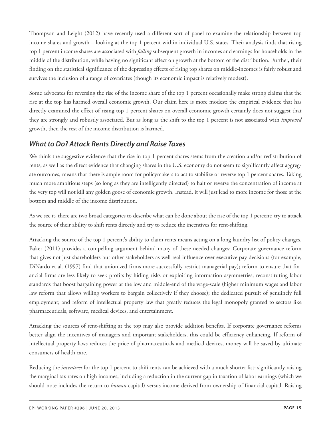Thompson and Leight (2012) have recently used a different sort of panel to examine the relationship between top income shares and growth – looking at the top 1 percent within individual U.S. states. Their analysis finds that rising top 1 percent income shares are associated with *falling* subsequent growth in incomes and earnings for households in the middle of the distribution, while having no significant effect on growth at the bottom of the distribution. Further, their finding on the statistical significance of the depressing effects of rising top shares on middle-incomes is fairly robust and survives the inclusion of a range of covariates (though its economic impact is relatively modest).

Some advocates for reversing the rise of the income share of the top 1 percent occasionally make strong claims that the rise at the top has harmed overall economic growth. Our claim here is more modest: the empirical evidence that has directly examined the effect of rising top 1 percent shares on overall economic growth certainly does not suggest that they are strongly and robustly associated. But as long as the shift to the top 1 percent is not associated with *improved* growth, then the rest of the income distribution is harmed.

# *What to Do? Attack Rents Directly and Raise Taxes*

We think the suggestive evidence that the rise in top 1 percent shares stems from the creation and/or redistribution of rents, as well as the direct evidence that changing shares in the U.S. economy do not seem to significantly affect aggregate outcomes, means that there is ample room for policymakers to act to stabilize or reverse top 1 percent shares. Taking much more ambitious steps (so long as they are intelligently directed) to halt or reverse the concentration of income at the very top will not kill any golden goose of economic growth. Instead, it will just lead to more income for those at the bottom and middle of the income distribution.

As we see it, there are two broad categories to describe what can be done about the rise of the top 1 percent: try to attack the source of their ability to shift rents directly and try to reduce the incentives for rent-shifting.

Attacking the source of the top 1 percent's ability to claim rents means acting on a long laundry list of policy changes. Baker (2011) provides a compelling argument behind many of these needed changes: Corporate governance reform that gives not just shareholders but other stakeholders as well real influence over executive pay decisions (for example, DiNardo et al. (1997) find that unionized firms more successfully restrict managerial pay); reform to ensure that financial firms are less likely to seek profits by hiding risks or exploiting information asymmetries; reconstituting labor standards that boost bargaining power at the low and middle-end of the wage-scale (higher minimum wages and labor law reform that allows willing workers to bargain collectively if they choose); the dedicated pursuit of genuinely full employment; and reform of intellectual property law that greatly reduces the legal monopoly granted to sectors like pharmaceuticals, software, medical devices, and entertainment.

Attacking the sources of rent-shifting at the top may also provide addition benefits. If corporate governance reforms better align the incentives of managers and important stakeholders, this could be efficiency enhancing. If reform of intellectual property laws reduces the price of pharmaceuticals and medical devices, money will be saved by ultimate consumers of health care.

Reducing the *incentives* for the top 1 percent to shift rents can be achieved with a much shorter list: significantly raising the marginal tax rates on high incomes, including a reduction in the current gap in taxation of labor earnings (which we should note includes the return to *human* capital) versus income derived from ownership of financial capital. Raising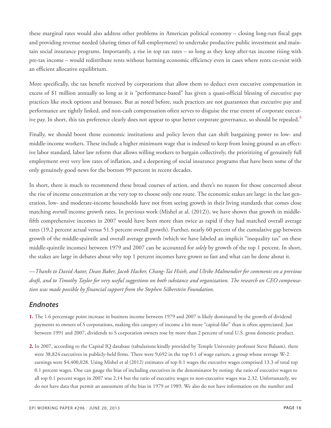these marginal rates would also address other problems in American political economy – closing long-run fiscal gaps and providing revenue needed (during times of full-employment) to undertake productive public investment and maintain social insurance programs. Importantly, a rise in top tax rates – so long as they keep after-tax income rising with pre-tax income – would redistribute rents without harming economic efficiency even in cases where rents co-exist with an efficient allocative equilibrium.

More specifically, the tax benefit received by corporations that allow them to deduct even executive compensation in excess of \$1 million annually so long as it is "performance-based" has given a quasi-official blessing of executive pay practices like stock options and bonuses. But as noted before, such practices are not guarantees that executive pay and performance are tightly linked, and non-cash compensation often serves to disguise the true extent of corporate executive pay. In short, this tax preference clearly does not appear to spur better corporate governance, so should be repealed. **[5](#page-16-2)**

<span id="page-15-2"></span>Finally, we should boost those economic institutions and policy levers that can shift bargaining power to low- and middle-income workers. These include a higher minimum wage that is indexed to keep from losing ground as an effective labor standard, labor law reform that allows willing workers to bargain collectively, the prioritizing of genuinely full employment over very low rates of inflation, and a deepening of social insurance programs that have been some of the only genuinely good news for the bottom 99 percent in recent decades.

In short, there is much to recommend these broad courses of action, and there's no reason for those concerned about the rise of income concentration at the very top to choose only one route. The economic stakes are large: in the last generation, low- and moderate-income households have not from seeing growth in their living standards that comes close matching *overall* income growth rates. In previous work (Mishel at al. (2012)), we have shown that growth in middlefifth comprehensive incomes in 2007 would have been more than twice as rapid if they had matched overall average rates (19.2 percent actual versus 51.5 percent overall growth). Further, nearly 60 percent of the cumulative gap between growth of the middle-quintile and overall average growth (which we have labeled an implicit "inequality tax" on these middle-quintile incomes) between 1979 and 2007 can be accounted for *solely* by growth of the top 1 percent. In short, the stakes are large in debates about why top 1 percent incomes have grown so fast and what can be done about it.

—Thanks to David Autor, Dean Baker, Jacob Hacker, Chang-Tai Hsieh, and Ulrike Malmendier for comments on a previous draft, and to Timothy Taylor for very useful suggestions on both substance and organization. The research on CEO compensa*tion was made possible by financial support from the Stephen Silberstein Foundation.*

## *Endnotes*

- <span id="page-15-0"></span>**[1.](#page-3-0)** The 1.6 percentage point increase in business income between 1979 and 2007 is likely dominated by the growth of dividend payments to owners of S corporations, making this category of income a bit more "capital-like" than is often appreciated. Just between 1991 and 2007, dividends to S corporation owners rose by more than 2 percent of total U.S. gross domestic product.
- <span id="page-15-1"></span>**[2.](#page-10-0)** In 2007, according to the Capital IQ database (tabulations kindly provided by Temple University professor Steve Balsam), there were 38,824 executives in publicly-held firms. There were 9,692 in the top 0.1 of wage earners, a group whose average W-2 earnings were \$4,400,028. Using Mishel et al (2012) estimates of top 0.1 wages the executive wages comprised 13.3 of total top 0.1 percent wages. One can gauge the bias of including executives in the denominator by noting: the ratio of executive wages to all top 0.1 percent wages in 2007 was 2.14 but the ratio of executive wages to non-executive wages was 2.32. Unfortunately, we do not have data that permit an assessment of the bias in 1979 or 1989. We also do not have information on the number and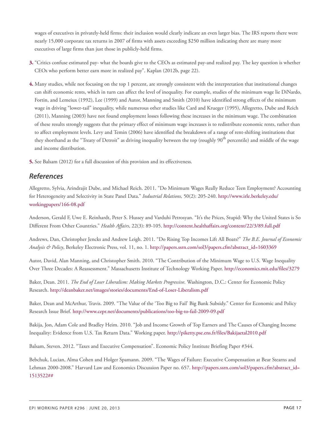wages of executives in privately-held firms: their inclusion would clearly indicate an even larger bias. The IRS reports there were nearly 15,000 corporate tax returns in 2007 of firms with assets exceeding \$250 million indicating there are many more executives of large firms than just those in publicly-held firms.

- <span id="page-16-0"></span>**[3.](#page-11-0)** "Critics confuse estimated pay- what the boards give to the CEOs as estimated pay-and realized pay. The key question is whether CEOs who perform better earn more in realized pay". Kaplan (2012b, page 22).
- <span id="page-16-1"></span>**[4.](#page-12-0)** Many studies, while not focusing on the top 1 percent, are strongly consistent with the interpretation that institutional changes can shift economic rents, which in turn can affect the level of inequality. For example, studies of the minimum wage lie DiNardo, Fortin, and Lemeiux (1992), Lee (1999) and Autor, Manning and Smith (2010) have identified strong effects of the minimum wage in driving "lower-tail" inequality, while numerous other studies like Card and Krueger (1995), Allegretto, Dube and Reich (2011), Manning (2003) have not found employment losses following these increases in the minimum wage. The combination of these results strongly suggests that the primary effect of minimum wage increases is to redistribute economic rents, rather than to affect employment levels. Levy and Temin (2006) have identified the breakdown of a range of rent-shifting institutions that they shorthand as the "Treaty of Detroit" as driving inequality between the top (roughly 90<sup>th</sup> percentile) and middle of the wage and income distribution.
- <span id="page-16-2"></span>**[5.](#page-15-2)** See Balsam (2012) for a full discussion of this provision and its effectiveness.

## *References*

Allegretto, Sylvia, Arindrajit Dube, and Michael Reich. 2011. "Do Minimum Wages Really Reduce Teen Employment? Accounting for Heterogeneity and Selectivity in State Panel Data." *Industrial Relations,* 50(2): 205-240. [http://www.irle.berkeley.edu/](http://www.irle.berkeley.edu/workingpapers/166-08.pdf) [workingpapers/166-08.pdf](http://www.irle.berkeley.edu/workingpapers/166-08.pdf)

Anderson, Gerald F, Uwe E. Reinhardt, Peter S. Hussey and Varduhi Petrosyan. "It's the Prices, Stupid: Why the United States is So Different From Other Countries." *Health Affairs*, 22(3): 89-105. <http://content.healthaffairs.org/content/22/3/89.full.pdf>

Andrews, Dan, Christopher Jencks and Andrew Leigh. 2011. "Do Rising Top Incomes Lift All Boats?" *The B.E. Journal of Economic Analysis & Policy*, Berkeley Electronic Press, vol. 11, no. 1. [http://papers.ssrn.com/sol3/papers.cfm?abstract\\_id=1603369](http://papers.ssrn.com/sol3/papers.cfm?abstract_id=1603369)

Autor, David, Alan Manning, and Christopher Smith. 2010. "The Contribution of the Minimum Wage to U.S. Wage Inequality Over Three Decades: A Reassessment." Massachusetts Institute of Technology Working Paper. <http://economics.mit.edu/files/3279>

Baker, Dean. 2011. *The End of Loser Liberalism: Making Markets Progressive*. Washington, D.C.: Center for Economic Policy Research. <http://deanbaker.net/images/stories/documents/End-of-Loser-Liberalism.pdf>

Baker, Dean and McArthur, Travis. 2009. "The Value of the 'Too Big to Fail' Big Bank Subsidy." Center for Economic and Policy Research Issue Brief. <http://www.cepr.net/documents/publications/too-big-to-fail-2009-09.pdf>

Bakija, Jon, Adam Cole and Bradley Heim. 2010. "Job and Income Growth of Top Earners and The Causes of Changing Income Inequality: Evidence from U.S. Tax Return Data." Working paper. <http://piketty.pse.ens.fr/files/Bakijaetal2010.pdf>

Balsam, Steven. 2012. "Taxes and Executive Compensation". Economic Policy Institute Briefing Paper #344.

Bebchuk, Lucian, Alma Cohen and Holger Spamann. 2009. "The Wages of Failure: Executive Compensation at Bear Stearns and Lehman 2000-2008." Harvard Law and Economics Discussion Paper no. 657. [http://papers.ssrn.com/sol3/papers.cfm?abstract\\_id=](http://papers.ssrn.com/sol3/papers.cfm?abstract_id=1513522##) [1513522##](http://papers.ssrn.com/sol3/papers.cfm?abstract_id=1513522##)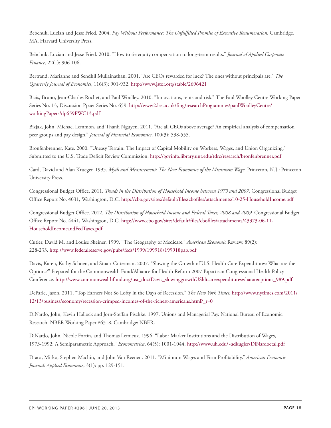Bebchuk, Lucian and Jesse Fried. 2004. *Pay Without Performance: The Unfulfilled Promise of Executive Renumeration*. Cambridge, MA, Harvard University Press.

Bebchuk, Lucian and Jesse Fried. 2010. "How to tie equity compensation to long-term results." *Journal of Applied Corporate Finance,* 22(1): 906-106.

Bertrand, Marianne and Sendhil Mullainathan. 2001. "Are CEOs rewarded for luck? The ones without principals are." *The Quarterly Journal of Economics*, 116(3): 901-932. <http://www.jstor.org/stable/2696421>

Biais, Bruno, Jean-Charles Rochet, and Paul Woolley. 2010. "Innovations, rents and risk." The Paul Woolley Centre Working Paper Series No. 13, Discussion Ppaer Series No. 659. [http://www2.lse.ac.uk/fmg/researchProgrammes/paulWoolleyCentre/](http://www2.lse.ac.uk/fmg/researchProgrammes/paulWoolleyCentre/workingPapers/dp659PWC13.pdf) [workingPapers/dp659PWC13.pdf](http://www2.lse.ac.uk/fmg/researchProgrammes/paulWoolleyCentre/workingPapers/dp659PWC13.pdf)

Bizjak, John, Michael Lemmon, and Thanh Nguyen. 2011. "Are all CEOs above average? An empirical analysis of compensation peer groups and pay design." *Journal of Financial Economics*, 100(3): 538-555.

Bronfenbrenner, Kate. 2000. "Uneasy Terrain: The Impact of Capital Mobility on Workers, Wages, and Union Organizing." Submitted to the U.S. Trade Deficit Review Commission. <http://govinfo.library.unt.edu/tdrc/research/bronfenbrenner.pdf>

Card, David and Alan Krueger. 1995. *Myth and Measurement: The New Economics of the Minimum Wage.* Princeton, N.J.: Princeton University Press.

Congressional Budget Office. 2011. *Trends in the Distribution of Household Income between 1979 and 2007.* Congressional Budget Office Report No. 4031, Washington, D.C. <http://cbo.gov/sites/default/files/cbofiles/attachments/10-25-HouseholdIncome.pdf>

Congressional Budget Office. 2012. *The Distribution of Household Income and Federal Taxes, 2008 and 2009.* Congressional Budget Office Report No. 4441, Washington, D.C. [http://www.cbo.gov/sites/default/files/cbofiles/attachments/43373-06-11-](http://www.cbo.gov/sites/default/files/cbofiles/attachments/43373-06-11-HouseholdIncomeandFedTaxes.pdf) [HouseholdIncomeandFedTaxes.pdf](http://www.cbo.gov/sites/default/files/cbofiles/attachments/43373-06-11-HouseholdIncomeandFedTaxes.pdf)

Cutler, David M. and Louise Sheiner. 1999. "The Geography of Medicare." *American Economic* Review, 89(2): 228-233. <http://www.federalreserve.gov/pubs/feds/1999/199918/199918pap.pdf>

Davis, Karen, Kathy Schoen, and Stuart Guterman. 2007. "Slowing the Growth of U.S. Health Care Expenditures: What are the Options?" Prepared for the Commonwealth Fund/Alliance for Health Reform 2007 Bipartisan Congressional Health Policy Conference. [http://www.commonwealthfund.org/usr\\_doc/Davis\\_slowinggrowthUShltcareexpenditureswhatareoptions\\_989.pdf](http://www.commonwealthfund.org/usr_doc/Davis_slowinggrowthUShltcareexpenditureswhatareoptions_989.pdf)

DeParle, Jason. 2011. "Top Earners Not So Lofty in the Days of Recession." *The New York Times.* [http://www.nytimes.com/2011/](http://www.nytimes.com/2011/12/13/business/economy/recession-crimped-incomes-of-the-richest-americans.html?_r=0) [12/13/business/economy/recession-crimped-incomes-of-the-richest-americans.html?\\_r=0](http://www.nytimes.com/2011/12/13/business/economy/recession-crimped-incomes-of-the-richest-americans.html?_r=0)

DiNardo, John, Kevin Hallock and Jorn-Steffan Pischke. 1997. Unions and Managerial Pay. National Bureau of Economic Research. NBER Working Paper #6318. Cambridge: NBER.

DiNardo, John, Nicole Fortin, and Thomas Lemieux. 1996. "Labor Market Institutions and the Distribution of Wages, 1973-1992: A Semiparametric Approach." *Econometrica*, 64(5): 1001-1044. <http://www.uh.edu/~adkugler/DiNardoetal.pdf>

Draca, Mirko, Stephen Machin, and John Van Reenen. 2011. "Minimum Wages and Firm Profitability." *American Economic Journal: Applied Economics*, 3(1): pp. 129-151.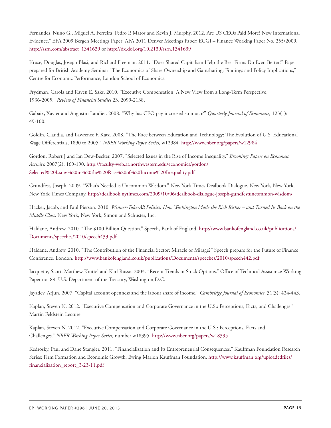Fernandes, Nuno G., Miguel A. Ferreira, Pedro P. Matos and Kevin J. Murphy. 2012. Are US CEOs Paid More? New International Evidence." EFA 2009 Bergen Meetings Paper; AFA 2011 Denver Meetings Paper; ECGI – Finance Working Paper No. 255/2009. <http://ssrn.com/abstract=1341639> or <http://dx.doi.org/10.2139/ssrn.1341639>

Kruse, Douglas, Joseph Blasi, and Richard Freeman. 2011. "Does Shared Capitalism Help the Best Firms Do Even Better?" Paper prepared for British Academy Seminar "The Economics of Share Ownership and Gainsharing: Findings and Policy Implications," Centre for Economic Performance, London School of Economics.

Frydman, Carola and Raven E. Saks. 2010. *"*Executive Compensation: A New View from a Long-Term Perspective, 1936-2005." *Review of Financial Studies* 23, 2099-2138.

Gabaix, Xavier and Augustin Landier. 2008. "Why has CEO pay increased so much?" *Quarterly Journal of Economics,* 123(1): 49-100.

Goldin, Claudia, and Lawrence F. Katz. 2008. "The Race between Education and Technology: The Evolution of U.S. Educational Wage Differentials, 1890 to 2005." *NBER Working Paper Series,* w12984*.* <http://www.nber.org/papers/w12984>

Gordon, Robert J and Ian Dew-Becker. 2007. "Selected Issues in the Rise of Income Inequality." *Brookings Papers on Economic Activity,* 2007(2): 169-190. [http://faculty-web.at.northwestern.edu/economics/gordon/](http://faculty-web.at.northwestern.edu/economics/gordon/Selected%20Issues%20in%20the%20Rise%20of%20Income%20Inequality.pdf) [Selected%20Issues%20in%20the%20Rise%20of%20Income%20Inequality.pdf](http://faculty-web.at.northwestern.edu/economics/gordon/Selected%20Issues%20in%20the%20Rise%20of%20Income%20Inequality.pdf)

Grundfest, Joseph. 2009. "What's Needed is Uncommon Wisdom." New York Times Dealbook Dialogue. New York, New York, New York Times Company. <http://dealbook.nytimes.com/2009/10/06/dealbook-dialogue-joseph-gundfestuncommon-wisdom/>

Hacker, Jacob, and Paul Pierson. 2010. *Winner-Take-All Politics: How Washington Made the Rich Richer – and Turned Its Back on the Middle Class*. New York, New York, Simon and Schuster, Inc.

Haldane, Andrew. 2010. "The \$100 Billion Question." Speech, Bank of England. [http://www.bankofengland.co.uk/publications/](http://www.bankofengland.co.uk/publications/Documents/speeches/2010/speech433.pdf) [Documents/speeches/2010/speech433.pdf](http://www.bankofengland.co.uk/publications/Documents/speeches/2010/speech433.pdf)

Haldane, Andrew. 2010. "The Contribution of the Financial Sector: Miracle or Mirage?" Speech prepare for the Future of Finance Conference, London. <http://www.bankofengland.co.uk/publications/Documents/speeches/2010/speech442.pdf>

Jacquette, Scott, Matthew Knittel and Karl Russo. 2003. "Recent Trends in Stock Options." Office of Technical Assistance Working Paper no. 89. U.S. Department of the Treasury, Washington,D.C.

Jayadev, Arjun. 2007. "Capital account openness and the labour share of income." *Cambridge Journal of Economics*, 31(3): 424-443.

Kaplan, Steven N. 2012. "Executive Compensation and Corporate Governance in the U.S.: Perceptions, Facts, and Challenges." Martin Feldstein Lecture.

Kaplan, Steven N. 2012. "Executive Compensation and Corporate Governance in the U.S.: Perceptions, Facts and Challenges." *NBER Working Paper Series,* number w18395. <http://www.nber.org/papers/w18395>

Kedrosky, Paul and Dane Stangler. 2011. "Financialization and Its Entrepreneurial Consequences." Kauffman Foundation Research Series: Firm Formation and Economic Growth. Ewing Marion Kauffman Foundation. [http://www.kauffman.org/uploadedfiles/](http://www.kauffman.org/uploadedfiles/financialization_report_3-23-11.pdf) [financialization\\_report\\_3-23-11.pdf](http://www.kauffman.org/uploadedfiles/financialization_report_3-23-11.pdf)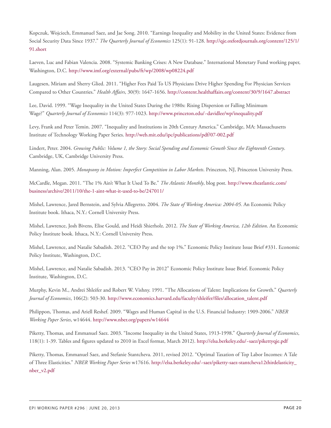Kopczuk, Wojciech, Emmanuel Saez, and Jae Song. 2010. "Earnings Inequality and Mobility in the United States: Evidence from Social Security Data Since 1937." *The Quarterly Journal of Economics* 125(1): 91-128. [http://qje.oxfordjournals.org/content/125/1/](http://qje.oxfordjournals.org/content/125/1/91.short) [91.short](http://qje.oxfordjournals.org/content/125/1/91.short)

Laeven, Luc and Fabian Valencia. 2008. "Systemic Banking Crises: A New Database." International Monetary Fund working paper, Washington, D.C. <http://www.imf.org/external/pubs/ft/wp/2008/wp08224.pdf>

Laugesen, Miriam and Sherry Glied. 2011. "Higher Fees Paid To US Physicians Drive Higher Spending For Physician Services Compared to Other Countries." *Health Affairs*, 30(9): 1647-1656. <http://content.healthaffairs.org/content/30/9/1647.abstract>

Lee, David. 1999. "Wage Inequality in the United States During the 1980s: Rising Dispersion or Falling Minimum Wage?" *Quarterly Journal of Economics* 114(3): 977-1023. <http://www.princeton.edu/~davidlee/wp/inequality.pdf>

Levy, Frank and Peter Temin. 2007. "Inequality and Institutions in 20th Century America." Cambridge, MA: Massachusetts Institute of Technology Working Paper Series. <http://web.mit.edu/ipc/publications/pdf/07-002.pdf>

Lindert, Peter. 2004. *Growing Public: Volume 1, the Story: Social Spending and Economic Growth Since the Eighteenth Century*. Cambridge, UK, Cambridge University Press.

Manning, Alan. 2005. *Monopsony in Motion: Imperfect Competition in Labor Markets*. Princeton, NJ, Princeton University Press.

McCardle, Megan. 2011. "The 1% Ain't What It Used To Be." *The Atlantic Monthly*, blog post. [http://www.theatlantic.com/](http://www.theatlantic.com/business/archive/2011/10/the-1-aint-what-it-used-to-be/247011/) [business/archive/2011/10/the-1-aint-what-it-used-to-be/247011/](http://www.theatlantic.com/business/archive/2011/10/the-1-aint-what-it-used-to-be/247011/)

Mishel, Lawrence, Jared Bernstein, and Sylvia Allegretto. 2004. *The State of Working America: 2004-05.* An Economic Policy Institute book. Ithaca, N.Y.: Cornell University Press.

Mishel, Lawrence, Josh Bivens, Elise Gould, and Heidi Shierholz. 2012. *The State of Working America, 12th Edition*. An Economic Policy Institute book. Ithaca, N.Y.: Cornell University Press.

Mishel, Lawrence, and Natalie Sabadish. 2012. "CEO Pay and the top 1%." Economic Policy Institute Issue Brief #331. Economic Policy Institute, Washington, D.C.

Mishel, Lawrence, and Natalie Sabadish. 2013. "CEO Pay in 2012" Economic Policy Institute Issue Brief. Economic Policy Institute, Washington, D.C.

Murphy, Kevin M., Andrei Shleifer and Robert W. Vishny. 1991. "The Allocations of Talent: Implications for Growth." *Quarterly Journal of Economics*, 106(2): 503-30. [http://www.economics.harvard.edu/faculty/shleifer/files/allocation\\_talent.pdf](http://www.economics.harvard.edu/faculty/shleifer/files/allocation_talent.pdf)

Philippon, Thomas, and Ariell Reshef. 2009. "Wages and Human Capital in the U.S. Financial Industry: 1909-2006." *NBER Working Paper Series*, w14644. <http://www.nber.org/papers/w14644>

Piketty, Thomas, and Emmanuel Saez. 2003. "Income Inequality in the United States, 1913-1998." *Quarterly Journal of Economics*, 118(1): 1-39. Tables and figures updated to 2010 in Excel format, March 2012). <http://elsa.berkeley.edu/~saez/pikettyqje.pdf>

Piketty, Thomas, Emmanuel Saez, and Stefanie Stantcheva. 2011, revised 2012. "Optimal Taxation of Top Labor Incomes: A Tale of Three Elasticities." *NBER Working Paper Series* w17616. [http://elsa.berkeley.edu/~saez/piketty-saez-stantcheva12thirdelasticity\\_](http://elsa.berkeley.edu/~saez/piketty-saez-stantcheva12thirdelasticity_nber_v2.pdf) [nber\\_v2.pdf](http://elsa.berkeley.edu/~saez/piketty-saez-stantcheva12thirdelasticity_nber_v2.pdf)